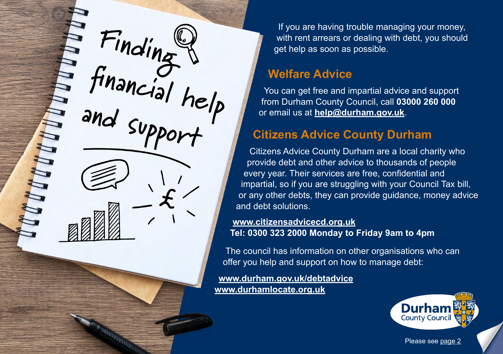<span id="page-0-0"></span>**Finding**  financial help<br>and cure **and support**

ranga.

If you are having trouble managing your money, with rent arrears or dealing with debt, you should get help as soon as possible.

#### **Welfare Advice**

You can get free and impartial advice and support from Durham County Council, call **03000 260 000** or email us at **[help@durham.gov.uk](mailto:help@durham.gov.uk)**.

#### **Citizens Advice County Durham**

Citizens Advice County Durham are a local charity who provide debt and other advice to thousands of people every year. Their services are free, confidential and impartial, so if you are struggling with your Council Tax bill, or any other debts, they can provide guidance, money advice and debt solutions.

**[www.citizensadvicecd.org.uk](http://www.citizensadvicecd.org.uk) Tel: 0300 323 2000 Monday to Friday 9am to 4pm**

The council has information on other organisations who can offer you help and support on how to manage debt:

**[www.durham.gov.uk/debtadvice](http://www.durham.gov.uk/debtadvice) [www.durhamlocate.org.uk](http://www.durhamlocate.org.uk)**



Please see [page 2](#page-1-0)